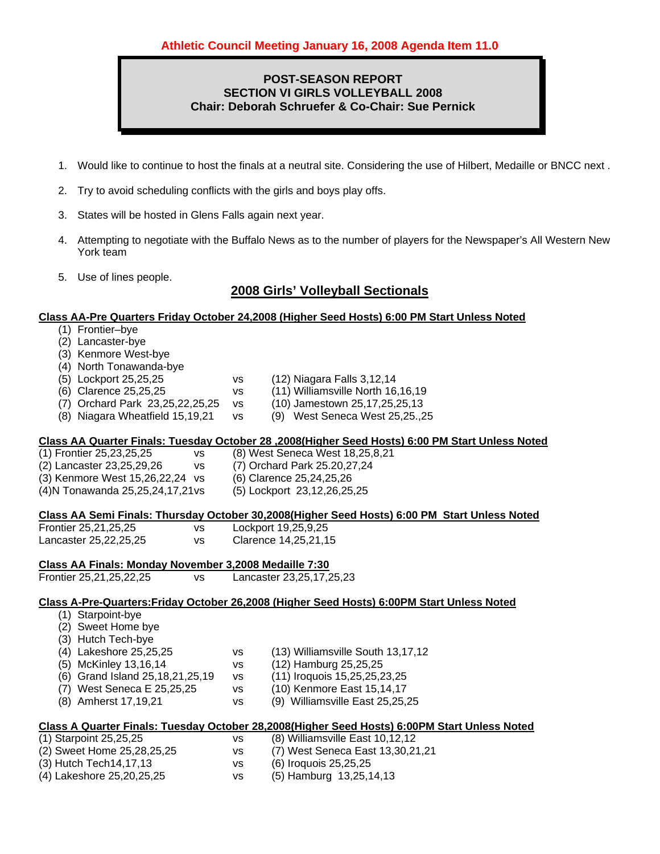### **POST-SEASON REPORT SECTION VI GIRLS VOLLEYBALL 2008 Chair: Deborah Schruefer & Co-Chair: Sue Pernick**

- 1. Would like to continue to host the finals at a neutral site. Considering the use of Hilbert, Medaille or BNCC next .
- 2. Try to avoid scheduling conflicts with the girls and boys play offs.
- 3. States will be hosted in Glens Falls again next year.
- 4. Attempting to negotiate with the Buffalo News as to the number of players for the Newspaper's All Western New York team
- 5. Use of lines people.

## **2008 Girls' Volleyball Sectionals**

#### **Class AA-Pre Quarters Friday October 24,2008 (Higher Seed Hosts) 6:00 PM Start Unless Noted**

- (1) Frontier–bye
- (2) Lancaster-bye
- (3) Kenmore West-bye
- (4) North Tonawanda-bye
- (5) Lockport 25,25,25 vs (12) Niagara Falls 3,12,14
- (6) Clarence 25,25,25 vs (11) Williamsville North 16,16,19
- (7) Orchard Park 23,25,22,25,25 vs (10) Jamestown 25,17,25,25,13
- (8) Niagara Wheatfield 15,19,21 vs (9) West Seneca West 25,25.,25

#### **Class AA Quarter Finals: Tuesday October 28 ,2008(Higher Seed Hosts) 6:00 PM Start Unless Noted**

- (1) Frontier 25,23,25,25 vs (8) West Seneca West 18,25,8,21 (2) Lancaster 23,25,29,26 vs (7) Orchard Park 25.20,27,24
- (3) Kenmore West 15,26,22,24 vs (6) Clarence 25,24,25,26
- (4)N Tonawanda 25,25,24,17,21 vs (5) Lockport 23,12,26,25,25

#### **Class AA Semi Finals: Thursday October 30,2008(Higher Seed Hosts) 6:00 PM Start Unless Noted**

| Frontier 25,21,25,25  | vs. | Lockport 19,25,9,25     |
|-----------------------|-----|-------------------------|
| Lancaster 25,22,25,25 | VS. | Clarence 14, 25, 21, 15 |

| Class AA Finals: Mondav November 3.2008 Medaille 7:30 |     |                          |
|-------------------------------------------------------|-----|--------------------------|
| Frontier 25,21,25,22,25                               | VS. | Lancaster 23,25,17,25,23 |

#### **Class A-Pre-Quarters:Friday October 26,2008 (Higher Seed Hosts) 6:00PM Start Unless Noted**

- (1) Starpoint-bye
- (2) Sweet Home bye
- (3) Hutch Tech-bye
- (4) Lakeshore 25,25,25 vs (13) Williamsville South 13,17,12
- (5) McKinley 13,16,14 vs (12) Hamburg 25,25,25
- (6) Grand Island 25,18,21,25,19 vs (11) Iroquois 15,25,25,23,25
- (7) West Seneca E 25,25,25 vs (10) Kenmore East 15,14,17
- (8) Amherst 17,19,21 vs (9) Williamsville East 25,25,25

#### **Class A Quarter Finals: Tuesday October 28,2008(Higher Seed Hosts) 6:00PM Start Unless Noted**

| (1) Starpoint 25,25,25     | vs  | $(8)$ Williamsville East 10,12,12 |
|----------------------------|-----|-----------------------------------|
| (2) Sweet Home 25,28,25,25 | VS. | (7) West Seneca East 13,30,21,21  |
| (3) Hutch Tech14,17,13     | vs  | (6) Iroquois 25,25,25             |
| (4) Lakeshore 25,20,25,25  | vs  | $(5)$ Hamburg 13,25,14,13         |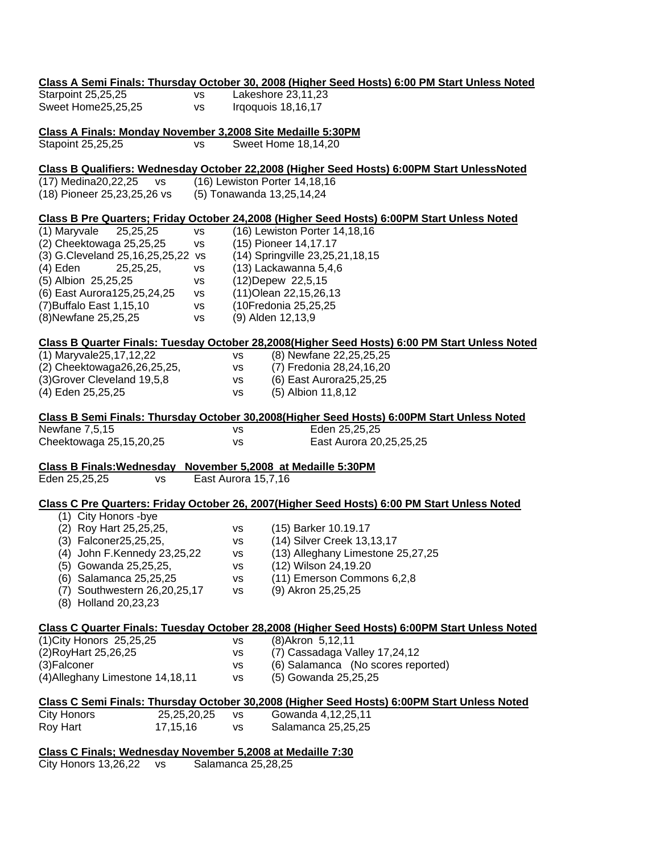|                                                             |                     |           | Class A Semi Finals: Thursday October 30, 2008 (Higher Seed Hosts) 6:00 PM Start Unless Noted |
|-------------------------------------------------------------|---------------------|-----------|-----------------------------------------------------------------------------------------------|
| Starpoint 25,25,25                                          | <b>VS</b>           |           | Lakeshore 23,11,23                                                                            |
| Sweet Home25,25,25                                          | <b>VS</b>           |           | Irgoquois 18,16,17                                                                            |
| Class A Finals: Monday November 3,2008 Site Medaille 5:30PM |                     |           |                                                                                               |
| Stapoint 25,25,25                                           | <b>VS</b>           |           | Sweet Home 18,14,20                                                                           |
|                                                             |                     |           | Class B Qualifiers: Wednesday October 22,2008 (Higher Seed Hosts) 6:00PM Start UnlessNoted    |
| (17) Medina20,22,25<br><b>VS</b>                            |                     |           | (16) Lewiston Porter 14,18,16                                                                 |
| (18) Pioneer 25, 23, 25, 26 vs                              |                     |           | (5) Tonawanda 13,25,14,24                                                                     |
|                                                             |                     |           | Class B Pre Quarters; Friday October 24,2008 (Higher Seed Hosts) 6:00PM Start Unless Noted    |
| (1) Maryvale<br>25,25,25                                    | <b>VS</b>           |           | (16) Lewiston Porter 14,18,16                                                                 |
| (2) Cheektowaga 25,25,25                                    | <b>VS</b>           |           | (15) Pioneer 14,17.17                                                                         |
| (3) G.Cleveland 25,16,25,25,22 vs                           |                     |           | (14) Springville 23,25,21,18,15                                                               |
| $(4)$ Eden<br>25,25,25,                                     | vs                  |           | (13) Lackawanna 5,4,6                                                                         |
| (5) Albion 25,25,25                                         | <b>VS</b>           |           | (12) Depew 22, 5, 15                                                                          |
| (6) East Aurora125,25,24,25                                 | <b>VS</b>           |           | (11) Olean 22, 15, 26, 13                                                                     |
| (7) Buffalo East 1, 15, 10                                  | vs                  |           | (10Fredonia 25,25,25                                                                          |
| (8) Newfane 25, 25, 25                                      | <b>VS</b>           |           | (9) Alden 12,13,9                                                                             |
|                                                             |                     |           | Class B Quarter Finals: Tuesday October 28,2008(Higher Seed Hosts) 6:00 PM Start Unless Noted |
| (1) Maryvale25, 17, 12, 22                                  |                     | <b>VS</b> | (8) Newfane 22,25,25,25                                                                       |
| (2) Cheektowaga26,26,25,25,                                 |                     | VS        | (7) Fredonia 28,24,16,20                                                                      |
| (3) Grover Cleveland 19,5,8                                 |                     | VS        | (6) East Aurora25,25,25                                                                       |
| (4) Eden 25,25,25                                           |                     | <b>VS</b> | (5) Albion 11,8,12                                                                            |
|                                                             |                     |           | Class B Semi Finals: Thursday October 30,2008(Higher Seed Hosts) 6:00PM Start Unless Noted    |
| Newfane 7,5,15                                              |                     | vs        | Eden 25,25,25                                                                                 |
| Cheektowaga 25,15,20,25                                     |                     | vs        | East Aurora 20, 25, 25, 25                                                                    |
| <b>Class B Finals: Wednesday</b>                            |                     |           | November 5,2008 at Medaille 5:30PM                                                            |
| Eden 25,25,25<br><b>VS</b>                                  | East Aurora 15,7,16 |           |                                                                                               |
|                                                             |                     |           | Class C Pre Quarters: Friday October 26, 2007(Higher Seed Hosts) 6:00 PM Start Unless Noted   |
| (1) City Honors -bye                                        |                     |           |                                                                                               |
| (2) Roy Hart 25,25,25,                                      |                     | <b>VS</b> | (15) Barker 10.19.17                                                                          |
| (3) Falconer25,25,25,                                       |                     | <b>VS</b> | (14) Silver Creek 13,13,17                                                                    |
| (4) John F.Kennedy 23,25,22                                 |                     | VS        | (13) Alleghany Limestone 25,27,25                                                             |
| (5) Gowanda 25,25,25,                                       |                     | vs        | (12) Wilson 24,19.20                                                                          |
| (6) Salamanca 25,25,25                                      |                     | <b>VS</b> | (11) Emerson Commons 6,2,8                                                                    |
| (7) Southwestern 26,20,25,17                                |                     | <b>VS</b> | (9) Akron 25,25,25                                                                            |
| (8) Holland 20,23,23                                        |                     |           |                                                                                               |
|                                                             |                     |           | Class C Quarter Finals: Tuesday October 28,2008 (Higher Seed Hosts) 6:00PM Start Unless Noted |
| (1) City Honors 25, 25, 25                                  |                     | vs        | (8) Akron 5, 12, 11                                                                           |
| (2) Roy Hart 25, 26, 25                                     |                     | vs        | (7) Cassadaga Valley 17,24,12                                                                 |
| (3) Falconer                                                |                     | vs        | (6) Salamanca (No scores reported)                                                            |
| (4) Alleghany Limestone 14, 18, 11                          |                     | vs        | (5) Gowanda 25,25,25                                                                          |
|                                                             |                     |           | Class C Semi Finals: Thursday October 30,2008 (Higher Seed Hosts) 6:00PM Start Unless Noted   |
| <b>City Honors</b><br>25,25,20,25                           |                     | vs        | Gowanda 4,12,25,11                                                                            |
| Roy Hart<br>17, 15, 16                                      |                     | <b>VS</b> | Salamanca 25,25,25                                                                            |
| Class C Finals; Wednesday November 5,2008 at Medaille 7:30  |                     |           |                                                                                               |

City Honors 13,26,22 vs Salamanca 25,28,25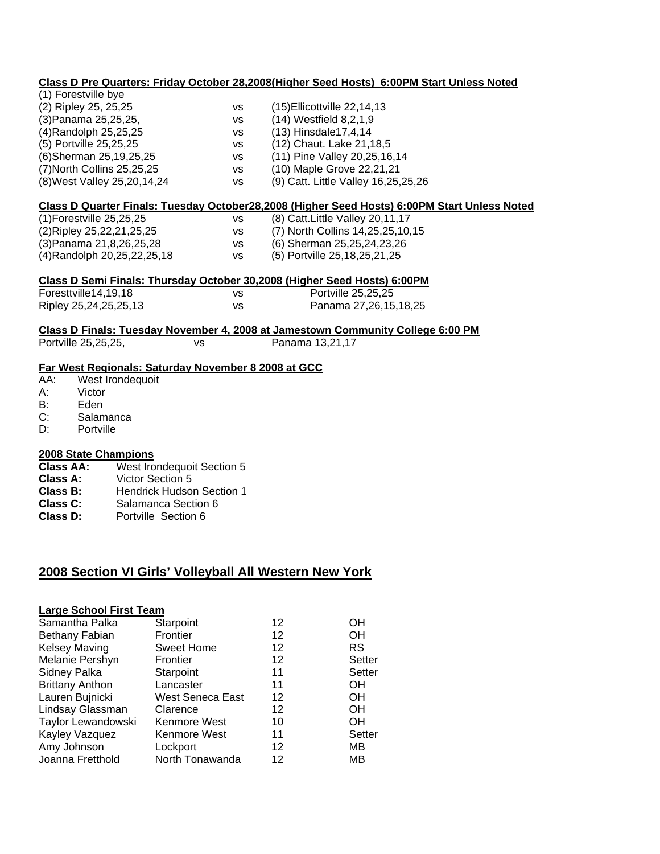|     |                                                     |           |           | Class D Pre Quarters: Friday October 28,2008(Higher Seed Hosts) 6:00PM Start Unless Noted    |
|-----|-----------------------------------------------------|-----------|-----------|----------------------------------------------------------------------------------------------|
|     | (1) Forestville bye                                 |           |           |                                                                                              |
|     | (2) Ripley 25, 25, 25                               |           | <b>VS</b> | (15) Ellicottville 22, 14, 13                                                                |
|     | (3) Panama 25, 25, 25,                              |           | <b>VS</b> | (14) Westfield 8,2,1,9                                                                       |
|     | (4) Randolph 25, 25, 25                             |           | <b>VS</b> | (13) Hinsdale17,4,14                                                                         |
|     | (5) Portville 25,25,25                              |           | <b>VS</b> | (12) Chaut. Lake 21,18,5                                                                     |
|     | (6)Sherman 25,19,25,25                              |           | <b>VS</b> | (11) Pine Valley 20, 25, 16, 14                                                              |
|     | (7) North Collins 25, 25, 25                        |           | <b>VS</b> | (10) Maple Grove 22,21,21                                                                    |
|     | (8) West Valley 25, 20, 14, 24                      |           | <b>VS</b> | (9) Catt. Little Valley 16,25,25,26                                                          |
|     |                                                     |           |           | Class D Quarter Finals: Tuesday October28,2008 (Higher Seed Hosts) 6:00PM Start Unless Noted |
|     | (1) Forestville 25, 25, 25                          |           | <b>VS</b> | (8) Catt. Little Valley 20, 11, 17                                                           |
|     | (2)Ripley 25,22,21,25,25                            |           | VS        | (7) North Collins 14,25,25,10,15                                                             |
|     | (3) Panama 21, 8, 26, 25, 28                        |           | <b>VS</b> | (6) Sherman 25, 25, 24, 23, 26                                                               |
|     | (4) Randolph 20, 25, 22, 25, 18                     |           | <b>VS</b> | (5) Portville 25, 18, 25, 21, 25                                                             |
|     |                                                     |           |           | Class D Semi Finals: Thursday October 30,2008 (Higher Seed Hosts) 6:00PM                     |
|     | Foresttville14,19,18                                |           | <b>VS</b> | Portville 25,25,25                                                                           |
|     | Ripley 25,24,25,25,13                               |           | <b>VS</b> | Panama 27,26,15,18,25                                                                        |
|     |                                                     |           |           | Class D Finals: Tuesday November 4, 2008 at Jamestown Community College 6:00 PM              |
|     | Portville 25,25,25,                                 | <b>VS</b> |           | Panama 13,21,17                                                                              |
|     | Far West Regionals: Saturday November 8 2008 at GCC |           |           |                                                                                              |
| AA: | West Irondequoit                                    |           |           |                                                                                              |
| А:  | Victor                                              |           |           |                                                                                              |
| В:  | Eden                                                |           |           |                                                                                              |
| C:  | Salamanca                                           |           |           |                                                                                              |
| D:  | Portville                                           |           |           |                                                                                              |
|     | 2008 State Champions                                |           |           |                                                                                              |

- **Class AA:** West Irondequoit Section 5<br> **Class A:** Victor Section 5
- 
- **Class A:** Victor Section 5<br> **Class B:** Hendrick Hudson **Class B:** Hendrick Hudson Section 1<br>**Class C:** Salamanca Section 6
- **Class C:** Salamanca Section 6<br>**Class D:** Portville Section 6
- Portville Section 6

# **2008 Section VI Girls' Volleyball All Western New York**

| <b>Large School First Team</b> |                  |    |           |  |  |
|--------------------------------|------------------|----|-----------|--|--|
| Samantha Palka                 | Starpoint        | 12 | OН        |  |  |
| Bethany Fabian                 | Frontier         | 12 | OΗ        |  |  |
| <b>Kelsey Maving</b>           | Sweet Home       | 12 | <b>RS</b> |  |  |
| Melanie Pershyn                | Frontier         | 12 | Setter    |  |  |
| Sidney Palka                   | Starpoint        | 11 | Setter    |  |  |
| <b>Brittany Anthon</b>         | Lancaster        | 11 | OΗ        |  |  |
| Lauren Bujnicki                | West Seneca East | 12 | OH        |  |  |
| Lindsay Glassman               | Clarence         | 12 | OН        |  |  |
| Taylor Lewandowski             | Kenmore West     | 10 | OH        |  |  |
| Kayley Vazquez                 | Kenmore West     | 11 | Setter    |  |  |
| Amy Johnson                    | Lockport         | 12 | MВ        |  |  |
| Joanna Fretthold               | North Tonawanda  | 12 | MВ        |  |  |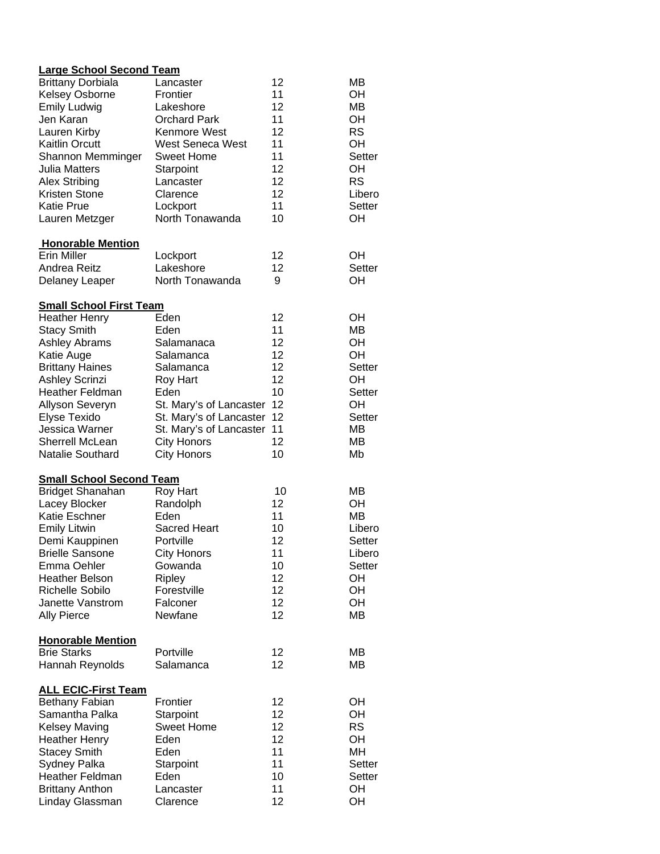|  | <b>Large School Second Team</b> |  |
|--|---------------------------------|--|
|  |                                 |  |

| <b>Brittany Dorbiala</b>        | Lancaster               | 12 | MВ        |
|---------------------------------|-------------------------|----|-----------|
| <b>Kelsey Osborne</b>           | Frontier                | 11 | OH        |
| <b>Emily Ludwig</b>             | Lakeshore               | 12 | MВ        |
| Jen Karan                       | <b>Orchard Park</b>     | 11 | OH        |
| Lauren Kirby                    | Kenmore West            | 12 | <b>RS</b> |
| <b>Kaitlin Orcutt</b>           | <b>West Seneca West</b> | 11 | OH        |
| Shannon Memminger               | <b>Sweet Home</b>       | 11 | Setter    |
| Julia Matters                   | Starpoint               | 12 | OH        |
| <b>Alex Stribing</b>            | Lancaster               | 12 | <b>RS</b> |
| Kristen Stone                   | Clarence                | 12 | Libero    |
| <b>Katie Prue</b>               | Lockport                | 11 | Setter    |
| Lauren Metzger                  | North Tonawanda         | 10 | OН        |
| <b>Honorable Mention</b>        |                         |    |           |
| <b>Erin Miller</b>              | Lockport                | 12 | ОH        |
| Andrea Reitz                    | Lakeshore               | 12 | Setter    |
| <b>Delaney Leaper</b>           | North Tonawanda         | 9  | OH        |
| <b>Small School First Team</b>  |                         |    |           |
| <b>Heather Henry</b>            | Eden                    | 12 | OH        |
| <b>Stacy Smith</b>              | Eden                    | 11 | MВ        |
| <b>Ashley Abrams</b>            | Salamanaca              | 12 | OH        |
| Katie Auge                      | Salamanca               | 12 | OH        |
| <b>Brittany Haines</b>          | Salamanca               | 12 | Setter    |
| <b>Ashley Scrinzi</b>           | Roy Hart                | 12 | OH        |
| <b>Heather Feldman</b>          | Eden                    | 10 | Setter    |
| Allyson Severyn                 | St. Mary's of Lancaster | 12 | OH        |
| Elyse Texido                    | St. Mary's of Lancaster | 12 | Setter    |
| Jessica Warner                  | St. Mary's of Lancaster | 11 | MВ        |
| Sherrell McLean                 | <b>City Honors</b>      | 12 | MВ        |
| Natalie Southard                | <b>City Honors</b>      | 10 | Mb        |
| <b>Small School Second Team</b> |                         |    |           |
| <b>Bridget Shanahan</b>         | Roy Hart                | 10 | MВ        |
| Lacey Blocker                   | Randolph                | 12 | OH        |
| Katie Eschner                   | Eden                    | 11 | <b>MB</b> |
| <b>Emily Litwin</b>             | <b>Sacred Heart</b>     | 10 | Libero    |
| Demi Kauppinen                  | Portville               | 12 | Setter    |
| <b>Brielle Sansone</b>          | <b>City Honors</b>      | 11 | Libero    |
| Emma Oehler                     | Gowanda                 | 10 | Setter    |
| <b>Heather Belson</b>           | Ripley                  | 12 | OH        |
| Richelle Sobilo                 | Forestville             | 12 | OH        |
| Janette Vanstrom                | Falconer                | 12 | OH        |
| <b>Ally Pierce</b>              | Newfane                 | 12 | MВ        |
| <b>Honorable Mention</b>        |                         |    |           |
| <b>Brie Starks</b>              | Portville               | 12 | MВ        |
| Hannah Reynolds                 | Salamanca               | 12 | ΜВ        |
| <b>ALL ECIC-First Team</b>      |                         |    |           |
| Bethany Fabian                  | Frontier                | 12 | OН        |
| Samantha Palka                  | Starpoint               | 12 | OH        |
| <b>Kelsey Maving</b>            | <b>Sweet Home</b>       | 12 | <b>RS</b> |
| <b>Heather Henry</b>            | Eden                    | 12 | OH        |
| <b>Stacey Smith</b>             | Eden                    | 11 | MH        |
| Sydney Palka                    | Starpoint               | 11 | Setter    |
| Heather Feldman                 | Eden                    | 10 | Setter    |
| <b>Brittany Anthon</b>          | Lancaster               | 11 | OH        |
| Linday Glassman                 | Clarence                | 12 | OH        |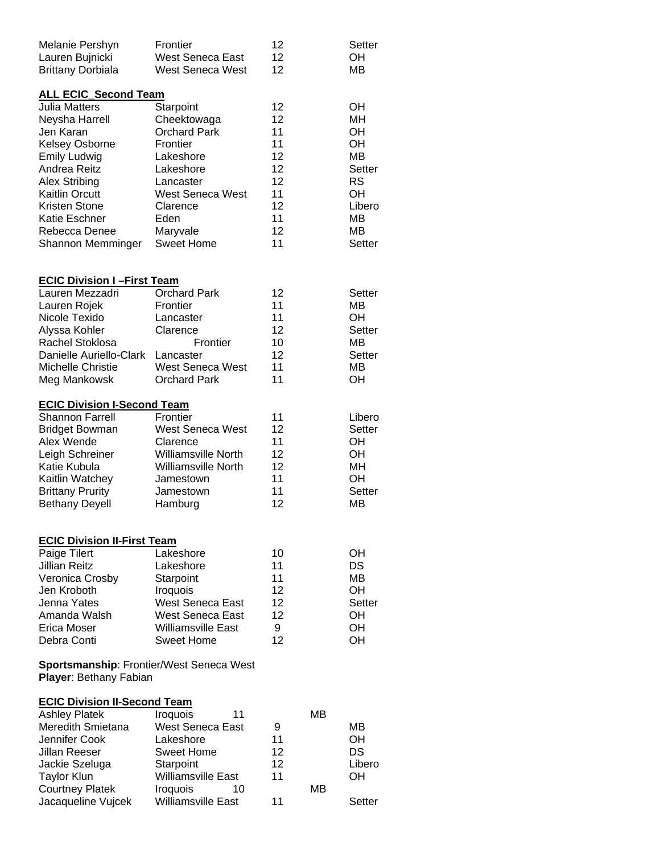| Frontier<br><b>West Seneca East</b><br>West Seneca West                                                                                                                                                           | 12<br>12<br>12                                                       |          | Setter<br>OH<br>MВ                                                                                    |  |
|-------------------------------------------------------------------------------------------------------------------------------------------------------------------------------------------------------------------|----------------------------------------------------------------------|----------|-------------------------------------------------------------------------------------------------------|--|
| <b>ALL ECIC Second Team</b><br>Starpoint<br>Cheektowaga<br><b>Orchard Park</b><br>Frontier<br>Lakeshore<br>Lakeshore<br>Lancaster<br><b>West Seneca West</b><br>Clarence<br>Eden<br>Maryvale<br><b>Sweet Home</b> | 12<br>12<br>11<br>11<br>12<br>12<br>12<br>11<br>12<br>11<br>12<br>11 |          | OН<br>MН<br>OH<br>OH<br><b>MB</b><br><b>Setter</b><br><b>RS</b><br>OН<br>Libero<br>MВ<br>MВ<br>Setter |  |
| <b>ECIC Division I-First Team</b><br><b>Orchard Park</b><br>Frontier<br>Lancaster<br>Clarence<br>Frontier<br>Lancaster<br><b>West Seneca West</b><br><b>Orchard Park</b>                                          | 12<br>11<br>11<br>12<br>10<br>12<br>11<br>11                         |          | <b>Setter</b><br>MВ<br>OH<br>Setter<br>MВ<br>Setter<br>MВ<br>OH                                       |  |
| <b>ECIC Division I-Second Team</b><br>Frontier<br><b>West Seneca West</b><br>Clarence<br><b>Williamsville North</b><br><b>Williamsville North</b><br>Jamestown<br>Jamestown<br>Hamburg                            | 11<br>12<br>11<br>12<br>12<br>11<br>11<br>12                         |          | Libero<br>Setter<br>OH<br>OН<br>MН<br>OΗ<br>Setter<br>MВ                                              |  |
| <b>ECIC Division II-First Team</b><br>Lakeshore<br>Lakeshore<br>Starpoint<br><b>Iroquois</b><br><b>West Seneca East</b><br>West Seneca East<br><b>Williamsville East</b><br>Sweet Home                            | 10<br>11<br>11<br>12<br>12<br>12<br>9<br>12                          |          | OΗ<br>DS<br>MВ<br>OH<br>Setter<br>OH<br>OΗ<br>OН                                                      |  |
| <b>Sportsmanship: Frontier/West Seneca West</b><br>Player: Bethany Fabian                                                                                                                                         |                                                                      |          |                                                                                                       |  |
| <b>ECIC Division II-Second Team</b><br>Iroquois<br>11<br><b>West Seneca East</b><br>Lakeshore<br>Sweet Home<br>Starpoint<br><b>Williamsville East</b><br>Iroquois<br>10                                           | 9<br>11<br>12<br>12<br>11                                            | MВ<br>MВ | MВ<br>OΗ<br>DS<br>Libero<br>OН<br>Setter                                                              |  |
|                                                                                                                                                                                                                   | <b>Williamsville East</b>                                            | 11       |                                                                                                       |  |